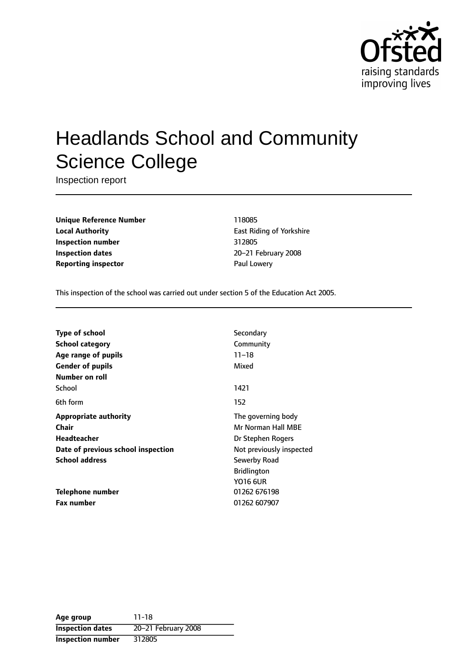

# Headlands School and Community Science College

Inspection report

**Unique Reference Number** 118085 **Local Authority East Riding of Yorkshire Inspection number** 312805 **Inspection dates** 20-21 February 2008 **Reporting inspector Example 20 and Lowery** Paul Lowery

This inspection of the school was carried out under section 5 of the Education Act 2005.

| Type of school                     | Secondary                |
|------------------------------------|--------------------------|
| <b>School category</b>             | Community                |
| Age range of pupils                | $11 - 18$                |
| <b>Gender of pupils</b>            | Mixed                    |
| Number on roll                     |                          |
| School                             | 1421                     |
| 6th form                           | 152                      |
| <b>Appropriate authority</b>       | The governing body       |
| Chair                              | Mr Norman Hall MBE       |
| Headteacher                        | Dr Stephen Rogers        |
| Date of previous school inspection | Not previously inspected |
| <b>School address</b>              | Sewerby Road             |
|                                    | <b>Bridlington</b>       |
|                                    | <b>YO16 6UR</b>          |
| <b>Telephone number</b>            | 01262 676198             |
| <b>Fax number</b>                  | 01262 607907             |

**Age group** 11-18 **Inspection dates** 20-21 February 2008 **Inspection number** 312805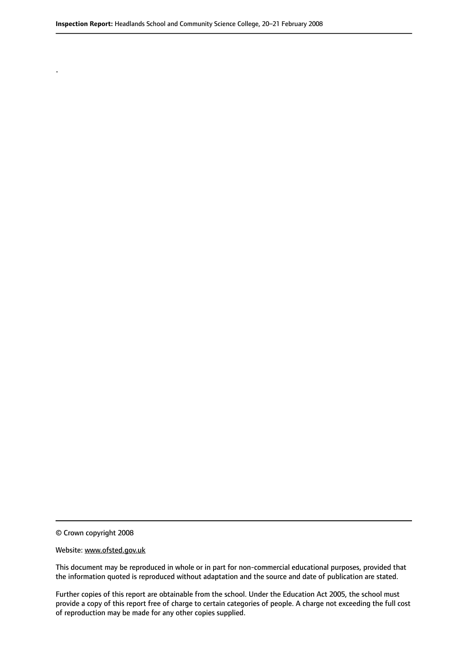© Crown copyright 2008

.

#### Website: www.ofsted.gov.uk

This document may be reproduced in whole or in part for non-commercial educational purposes, provided that the information quoted is reproduced without adaptation and the source and date of publication are stated.

Further copies of this report are obtainable from the school. Under the Education Act 2005, the school must provide a copy of this report free of charge to certain categories of people. A charge not exceeding the full cost of reproduction may be made for any other copies supplied.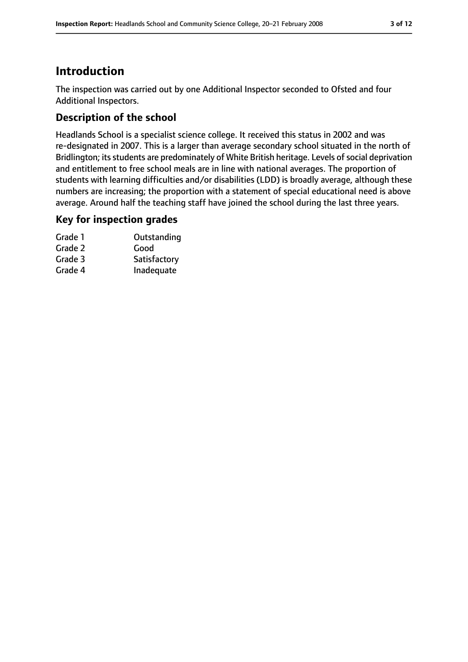### **Introduction**

The inspection was carried out by one Additional Inspector seconded to Ofsted and four Additional Inspectors.

### **Description of the school**

Headlands School is a specialist science college. It received this status in 2002 and was re-designated in 2007. This is a larger than average secondary school situated in the north of Bridlington; its students are predominately of White British heritage. Levels of social deprivation and entitlement to free school meals are in line with national averages. The proportion of students with learning difficulties and/or disabilities (LDD) is broadly average, although these numbers are increasing; the proportion with a statement of special educational need is above average. Around half the teaching staff have joined the school during the last three years.

#### **Key for inspection grades**

| Grade 1 | Outstanding  |
|---------|--------------|
| Grade 2 | Good         |
| Grade 3 | Satisfactory |
| Grade 4 | Inadequate   |
|         |              |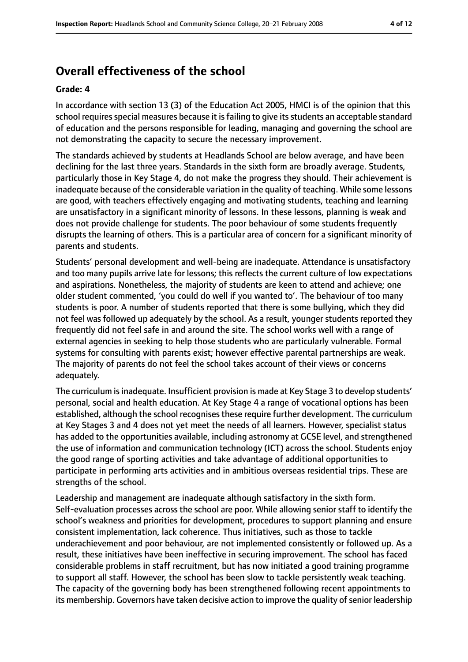### **Overall effectiveness of the school**

#### **Grade: 4**

In accordance with section 13 (3) of the Education Act 2005, HMCI is of the opinion that this school requires special measures because it is failing to give its students an acceptable standard of education and the persons responsible for leading, managing and governing the school are not demonstrating the capacity to secure the necessary improvement.

The standards achieved by students at Headlands School are below average, and have been declining for the last three years. Standards in the sixth form are broadly average. Students, particularly those in Key Stage 4, do not make the progress they should. Their achievement is inadequate because of the considerable variation in the quality of teaching. While some lessons are good, with teachers effectively engaging and motivating students, teaching and learning are unsatisfactory in a significant minority of lessons. In these lessons, planning is weak and does not provide challenge for students. The poor behaviour of some students frequently disrupts the learning of others. This is a particular area of concern for a significant minority of parents and students.

Students' personal development and well-being are inadequate. Attendance is unsatisfactory and too many pupils arrive late for lessons; this reflects the current culture of low expectations and aspirations. Nonetheless, the majority of students are keen to attend and achieve; one older student commented, 'you could do well if you wanted to'. The behaviour of too many students is poor. A number of students reported that there is some bullying, which they did not feel was followed up adequately by the school. As a result, younger students reported they frequently did not feel safe in and around the site. The school works well with a range of external agencies in seeking to help those students who are particularly vulnerable. Formal systems for consulting with parents exist; however effective parental partnerships are weak. The majority of parents do not feel the school takes account of their views or concerns adequately.

The curriculum is inadequate. Insufficient provision is made at Key Stage 3 to develop students' personal, social and health education. At Key Stage 4 a range of vocational options has been established, although the school recognises these require further development. The curriculum at Key Stages 3 and 4 does not yet meet the needs of all learners. However, specialist status has added to the opportunities available, including astronomy at GCSE level, and strengthened the use of information and communication technology (ICT) across the school. Students enjoy the good range of sporting activities and take advantage of additional opportunities to participate in performing arts activities and in ambitious overseas residential trips. These are strengths of the school.

Leadership and management are inadequate although satisfactory in the sixth form. Self-evaluation processes across the school are poor. While allowing senior staff to identify the school's weakness and priorities for development, procedures to support planning and ensure consistent implementation, lack coherence. Thus initiatives, such as those to tackle underachievement and poor behaviour, are not implemented consistently or followed up. As a result, these initiatives have been ineffective in securing improvement. The school has faced considerable problems in staff recruitment, but has now initiated a good training programme to support all staff. However, the school has been slow to tackle persistently weak teaching. The capacity of the governing body has been strengthened following recent appointments to its membership. Governors have taken decisive action to improve the quality of senior leadership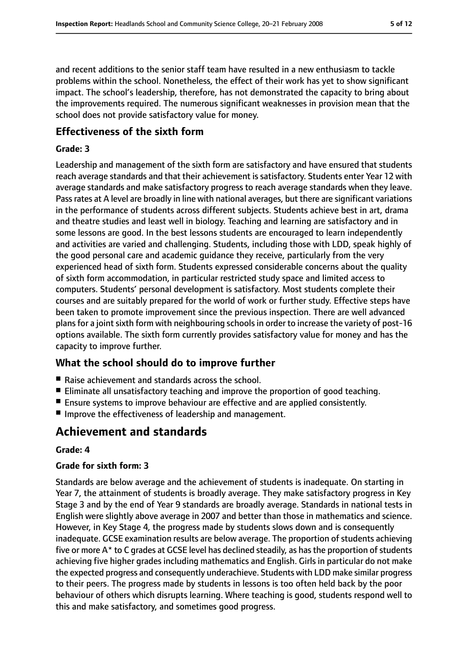and recent additions to the senior staff team have resulted in a new enthusiasm to tackle problems within the school. Nonetheless, the effect of their work has yet to show significant impact. The school's leadership, therefore, has not demonstrated the capacity to bring about the improvements required. The numerous significant weaknesses in provision mean that the school does not provide satisfactory value for money.

#### **Effectiveness of the sixth form**

#### **Grade: 3**

Leadership and management of the sixth form are satisfactory and have ensured that students reach average standards and that their achievement is satisfactory. Students enter Year 12 with average standards and make satisfactory progress to reach average standards when they leave. Passrates at A level are broadly in line with national averages, but there are significant variations in the performance of students across different subjects. Students achieve best in art, drama and theatre studies and least well in biology. Teaching and learning are satisfactory and in some lessons are good. In the best lessons students are encouraged to learn independently and activities are varied and challenging. Students, including those with LDD, speak highly of the good personal care and academic guidance they receive, particularly from the very experienced head of sixth form. Students expressed considerable concerns about the quality of sixth form accommodation, in particular restricted study space and limited access to computers. Students' personal development is satisfactory. Most students complete their courses and are suitably prepared for the world of work or further study. Effective steps have been taken to promote improvement since the previous inspection. There are well advanced plans for a joint sixth form with neighbouring schools in order to increase the variety of post-16 options available. The sixth form currently provides satisfactory value for money and has the capacity to improve further.

#### **What the school should do to improve further**

- Raise achievement and standards across the school.
- Eliminate all unsatisfactory teaching and improve the proportion of good teaching.
- Ensure systems to improve behaviour are effective and are applied consistently.
- Improve the effectiveness of leadership and management.

### **Achievement and standards**

#### **Grade: 4**

#### **Grade for sixth form: 3**

Standards are below average and the achievement of students is inadequate. On starting in Year 7, the attainment of students is broadly average. They make satisfactory progress in Key Stage 3 and by the end of Year 9 standards are broadly average. Standards in national tests in English were slightly above average in 2007 and better than those in mathematics and science. However, in Key Stage 4, the progress made by students slows down and is consequently inadequate. GCSE examination results are below average. The proportion of students achieving five or more  $A^*$  to C grades at GCSE level has declined steadily, as has the proportion of students achieving five higher grades including mathematics and English. Girls in particular do not make the expected progress and consequently underachieve. Students with LDD make similar progress to their peers. The progress made by students in lessons is too often held back by the poor behaviour of others which disrupts learning. Where teaching is good, students respond well to this and make satisfactory, and sometimes good progress.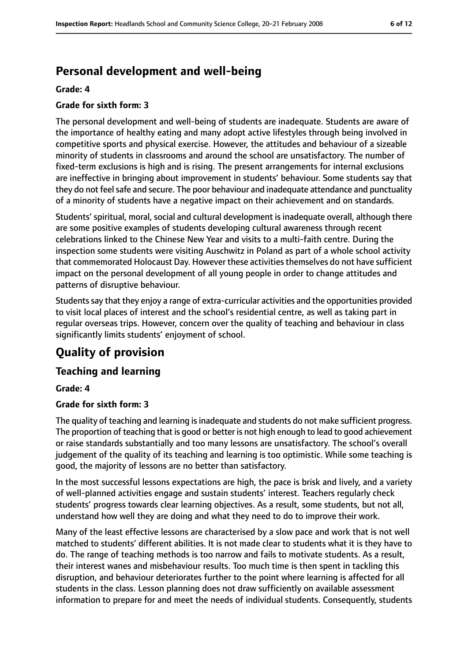### **Personal development and well-being**

#### **Grade: 4**

#### **Grade for sixth form: 3**

The personal development and well-being of students are inadequate. Students are aware of the importance of healthy eating and many adopt active lifestyles through being involved in competitive sports and physical exercise. However, the attitudes and behaviour of a sizeable minority of students in classrooms and around the school are unsatisfactory. The number of fixed-term exclusions is high and is rising. The present arrangements for internal exclusions are ineffective in bringing about improvement in students' behaviour. Some students say that they do not feel safe and secure. The poor behaviour and inadequate attendance and punctuality of a minority of students have a negative impact on their achievement and on standards.

Students' spiritual, moral, social and cultural development is inadequate overall, although there are some positive examples of students developing cultural awareness through recent celebrations linked to the Chinese New Year and visits to a multi-faith centre. During the inspection some students were visiting Auschwitz in Poland as part of a whole school activity that commemorated Holocaust Day. However these activities themselves do not have sufficient impact on the personal development of all young people in order to change attitudes and patterns of disruptive behaviour.

Students say that they enjoy a range of extra-curricular activities and the opportunities provided to visit local places of interest and the school's residential centre, as well as taking part in regular overseas trips. However, concern over the quality of teaching and behaviour in class significantly limits students' enjoyment of school.

### **Quality of provision**

#### **Teaching and learning**

#### **Grade: 4**

#### **Grade for sixth form: 3**

The quality of teaching and learning is inadequate and students do not make sufficient progress. The proportion of teaching that is good or better is not high enough to lead to good achievement or raise standards substantially and too many lessons are unsatisfactory. The school's overall judgement of the quality of its teaching and learning is too optimistic. While some teaching is good, the majority of lessons are no better than satisfactory.

In the most successful lessons expectations are high, the pace is brisk and lively, and a variety of well-planned activities engage and sustain students' interest. Teachers regularly check students' progress towards clear learning objectives. As a result, some students, but not all, understand how well they are doing and what they need to do to improve their work.

Many of the least effective lessons are characterised by a slow pace and work that is not well matched to students' different abilities. It is not made clear to students what it is they have to do. The range of teaching methods is too narrow and fails to motivate students. As a result, their interest wanes and misbehaviour results. Too much time is then spent in tackling this disruption, and behaviour deteriorates further to the point where learning is affected for all students in the class. Lesson planning does not draw sufficiently on available assessment information to prepare for and meet the needs of individual students. Consequently, students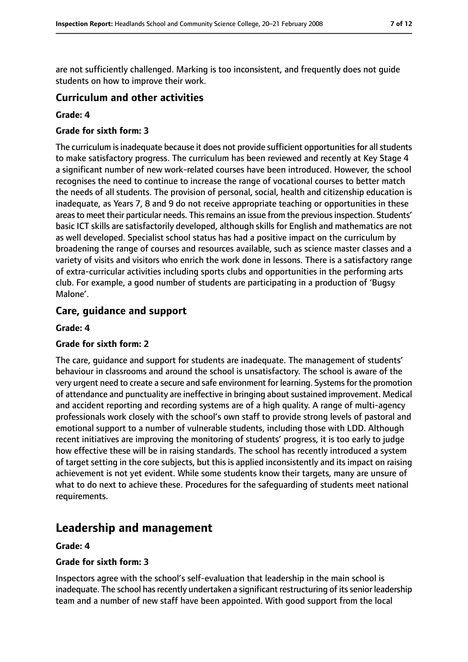are not sufficiently challenged. Marking is too inconsistent, and frequently does not guide students on how to improve their work.

#### **Curriculum and other activities**

#### **Grade: 4**

#### **Grade for sixth form: 3**

The curriculum is inadequate because it does not provide sufficient opportunities for all students to make satisfactory progress. The curriculum has been reviewed and recently at Key Stage 4 a significant number of new work-related courses have been introduced. However, the school recognises the need to continue to increase the range of vocational courses to better match the needs of all students. The provision of personal, social, health and citizenship education is inadequate, as Years 7, 8 and 9 do not receive appropriate teaching or opportunities in these areas to meet their particular needs. This remains an issue from the previous inspection. Students' basic ICT skills are satisfactorily developed, although skills for English and mathematics are not as well developed. Specialist school status has had a positive impact on the curriculum by broadening the range of courses and resources available, such as science master classes and a variety of visits and visitors who enrich the work done in lessons. There is a satisfactory range of extra-curricular activities including sports clubs and opportunities in the performing arts club. For example, a good number of students are participating in a production of 'Bugsy Malone'.

#### **Care, guidance and support**

#### **Grade: 4**

#### **Grade for sixth form: 2**

The care, guidance and support for students are inadequate. The management of students' behaviour in classrooms and around the school is unsatisfactory. The school is aware of the very urgent need to create a secure and safe environment for learning. Systems for the promotion of attendance and punctuality are ineffective in bringing about sustained improvement. Medical and accident reporting and recording systems are of a high quality. A range of multi-agency professionals work closely with the school's own staff to provide strong levels of pastoral and emotional support to a number of vulnerable students, including those with LDD. Although recent initiatives are improving the monitoring of students' progress, it is too early to judge how effective these will be in raising standards. The school has recently introduced a system of target setting in the core subjects, but this is applied inconsistently and its impact on raising achievement is not yet evident. While some students know their targets, many are unsure of what to do next to achieve these. Procedures for the safeguarding of students meet national requirements.

### **Leadership and management**

#### **Grade: 4**

#### **Grade for sixth form: 3**

Inspectors agree with the school's self-evaluation that leadership in the main school is inadequate. The school has recently undertaken a significant restructuring of its senior leadership team and a number of new staff have been appointed. With good support from the local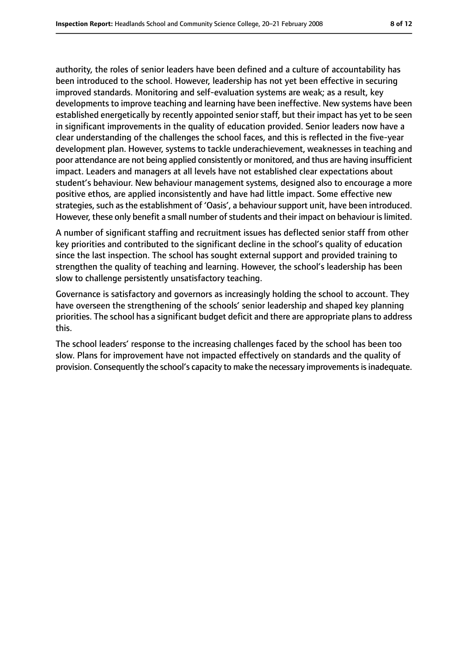authority, the roles of senior leaders have been defined and a culture of accountability has been introduced to the school. However, leadership has not yet been effective in securing improved standards. Monitoring and self-evaluation systems are weak; as a result, key developments to improve teaching and learning have been ineffective. New systems have been established energetically by recently appointed senior staff, but their impact has yet to be seen in significant improvements in the quality of education provided. Senior leaders now have a clear understanding of the challenges the school faces, and this is reflected in the five-year development plan. However, systems to tackle underachievement, weaknesses in teaching and poor attendance are not being applied consistently or monitored, and thus are having insufficient impact. Leaders and managers at all levels have not established clear expectations about student's behaviour. New behaviour management systems, designed also to encourage a more positive ethos, are applied inconsistently and have had little impact. Some effective new strategies, such as the establishment of 'Oasis', a behaviour support unit, have been introduced. However, these only benefit a small number of students and their impact on behaviour is limited.

A number of significant staffing and recruitment issues has deflected senior staff from other key priorities and contributed to the significant decline in the school's quality of education since the last inspection. The school has sought external support and provided training to strengthen the quality of teaching and learning. However, the school's leadership has been slow to challenge persistently unsatisfactory teaching.

Governance is satisfactory and governors as increasingly holding the school to account. They have overseen the strengthening of the schools' senior leadership and shaped key planning priorities. The school has a significant budget deficit and there are appropriate plans to address this.

The school leaders' response to the increasing challenges faced by the school has been too slow. Plans for improvement have not impacted effectively on standards and the quality of provision. Consequently the school's capacity to make the necessary improvements is inadequate.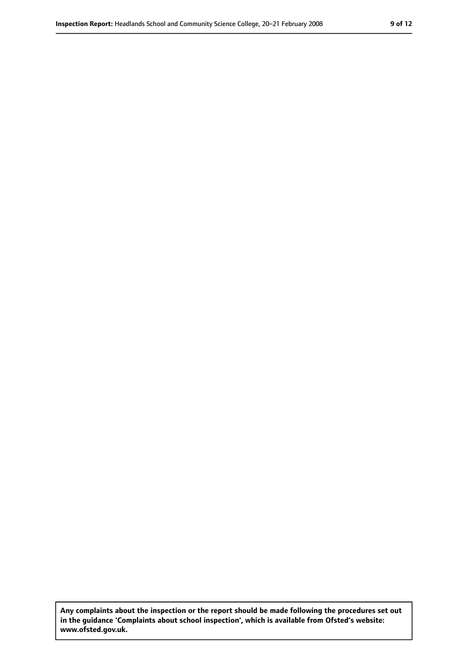**Any complaints about the inspection or the report should be made following the procedures set out in the guidance 'Complaints about school inspection', which is available from Ofsted's website: www.ofsted.gov.uk.**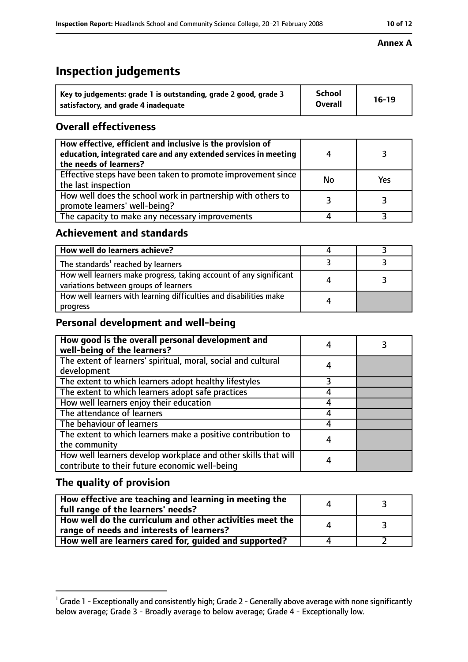### **Inspection Report:** Headlands School and Community Science College, 20–21 February 2008 **10 12 10 12**

#### **Annex A**

## **Inspection judgements**

| Key to judgements: grade 1 is outstanding, grade 2 good, grade 3 | <b>School</b>  | $16-19$ |
|------------------------------------------------------------------|----------------|---------|
| satisfactory, and grade 4 inadequate                             | <b>Overall</b> |         |

### **Overall effectiveness**

| How effective, efficient and inclusive is the provision of<br>education, integrated care and any extended services in meeting<br>the needs of learners? |    |     |
|---------------------------------------------------------------------------------------------------------------------------------------------------------|----|-----|
| Effective steps have been taken to promote improvement since<br>the last inspection                                                                     | No | Yes |
| How well does the school work in partnership with others to<br>promote learners' well-being?                                                            |    |     |
| The capacity to make any necessary improvements                                                                                                         |    |     |

#### **Achievement and standards**

| How well do learners achieve?                                                                               |  |
|-------------------------------------------------------------------------------------------------------------|--|
| The standards <sup>1</sup> reached by learners                                                              |  |
| How well learners make progress, taking account of any significant<br>variations between groups of learners |  |
| How well learners with learning difficulties and disabilities make<br>progress                              |  |

#### **Personal development and well-being**

| How good is the overall personal development and<br>well-being of the learners?                                  |   |  |
|------------------------------------------------------------------------------------------------------------------|---|--|
| The extent of learners' spiritual, moral, social and cultural                                                    | 4 |  |
| development                                                                                                      |   |  |
| The extent to which learners adopt healthy lifestyles                                                            |   |  |
| The extent to which learners adopt safe practices                                                                |   |  |
| How well learners enjoy their education                                                                          |   |  |
| The attendance of learners                                                                                       |   |  |
| The behaviour of learners                                                                                        |   |  |
| The extent to which learners make a positive contribution to                                                     |   |  |
| the community                                                                                                    |   |  |
| How well learners develop workplace and other skills that will<br>contribute to their future economic well-being |   |  |

### **The quality of provision**

| How effective are teaching and learning in meeting the<br>full range of the learners' needs?          |  |
|-------------------------------------------------------------------------------------------------------|--|
| How well do the curriculum and other activities meet the<br>range of needs and interests of learners? |  |
| How well are learners cared for, guided and supported?                                                |  |

 $^1$  Grade 1 - Exceptionally and consistently high; Grade 2 - Generally above average with none significantly below average; Grade 3 - Broadly average to below average; Grade 4 - Exceptionally low.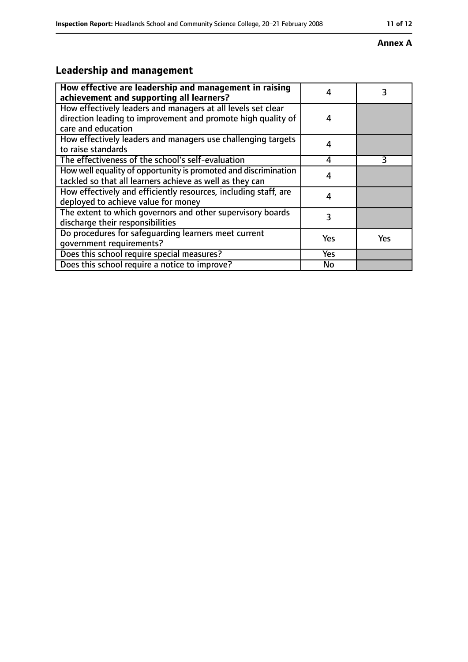#### **Annex A**

### **Leadership and management**

| How effective are leadership and management in raising<br>achievement and supporting all learners?                                                 | 4         | 3   |
|----------------------------------------------------------------------------------------------------------------------------------------------------|-----------|-----|
| How effectively leaders and managers at all levels set clear<br>direction leading to improvement and promote high quality of<br>care and education | 4         |     |
| How effectively leaders and managers use challenging targets<br>to raise standards                                                                 | 4         |     |
| The effectiveness of the school's self-evaluation                                                                                                  | 4         | 3   |
| How well equality of opportunity is promoted and discrimination<br>tackled so that all learners achieve as well as they can                        | 4         |     |
| How effectively and efficiently resources, including staff, are<br>deployed to achieve value for money                                             | 4         |     |
| The extent to which governors and other supervisory boards<br>discharge their responsibilities                                                     | 3         |     |
| Do procedures for safequarding learners meet current<br>qovernment requirements?                                                                   | Yes       | Yes |
| Does this school require special measures?                                                                                                         | Yes       |     |
| Does this school require a notice to improve?                                                                                                      | <b>No</b> |     |